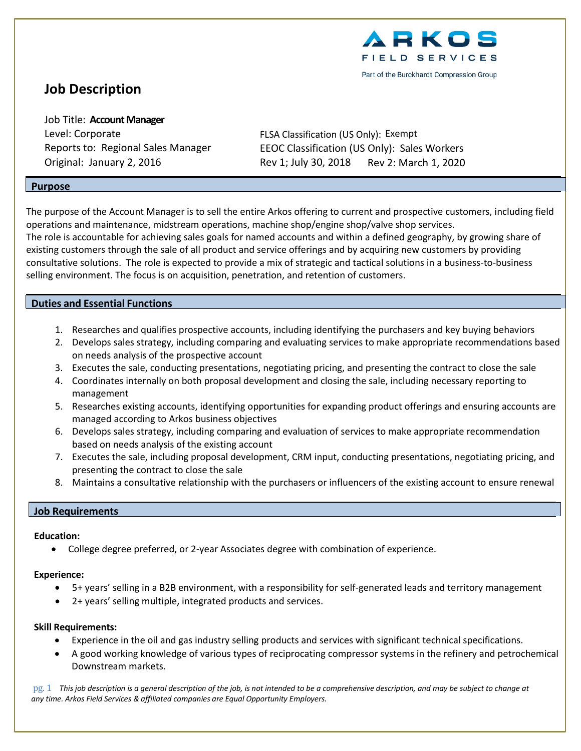

# **Job Description**

Job Title: **Account Manager** Level: Corporate FLSA Classification (US Only): Exempt

Reports to: Regional Sales Manager EEOC Classification (US Only): Sales Workers Original: January 2, 2016 Rev 1; July 30, 2018 Rev 2: March 1, 2020

## **Purpose**

The purpose of the Account Manager is to sell the entire Arkos offering to current and prospective customers, including field operations and maintenance, midstream operations, machine shop/engine shop/valve shop services. The role is accountable for achieving sales goals for named accounts and within a defined geography, by growing share of existing customers through the sale of all product and service offerings and by acquiring new customers by providing consultative solutions. The role is expected to provide a mix of strategic and tactical solutions in a business-to-business selling environment. The focus is on acquisition, penetration, and retention of customers.

## **Duties and Essential Functions**

- 1. Researches and qualifies prospective accounts, including identifying the purchasers and key buying behaviors
- 2. Develops sales strategy, including comparing and evaluating services to make appropriate recommendations based on needs analysis of the prospective account
- 3. Executes the sale, conducting presentations, negotiating pricing, and presenting the contract to close the sale
- 4. Coordinates internally on both proposal development and closing the sale, including necessary reporting to management
- 5. Researches existing accounts, identifying opportunities for expanding product offerings and ensuring accounts are managed according to Arkos business objectives
- 6. Develops sales strategy, including comparing and evaluation of services to make appropriate recommendation based on needs analysis of the existing account
- 7. Executes the sale, including proposal development, CRM input, conducting presentations, negotiating pricing, and presenting the contract to close the sale
- 8. Maintains a consultative relationship with the purchasers or influencers of the existing account to ensure renewal

#### **Job Requirements**

#### **Education:**

• College degree preferred, or 2-year Associates degree with combination of experience.

#### **Experience:**

- 5+ years' selling in a B2B environment, with a responsibility for self-generated leads and territory management
- 2+ years' selling multiple, integrated products and services.

#### **Skill Requirements:**

- Experience in the oil and gas industry selling products and services with significant technical specifications.
- A good working knowledge of various types of reciprocating compressor systems in the refinery and petrochemical Downstream markets.

pg. 1 This job description is a general description of the job, is not intended to be a comprehensive description, and may be subject to change at *any time. Arkos Field Services & affiliated companies are Equal Opportunity Employers.*